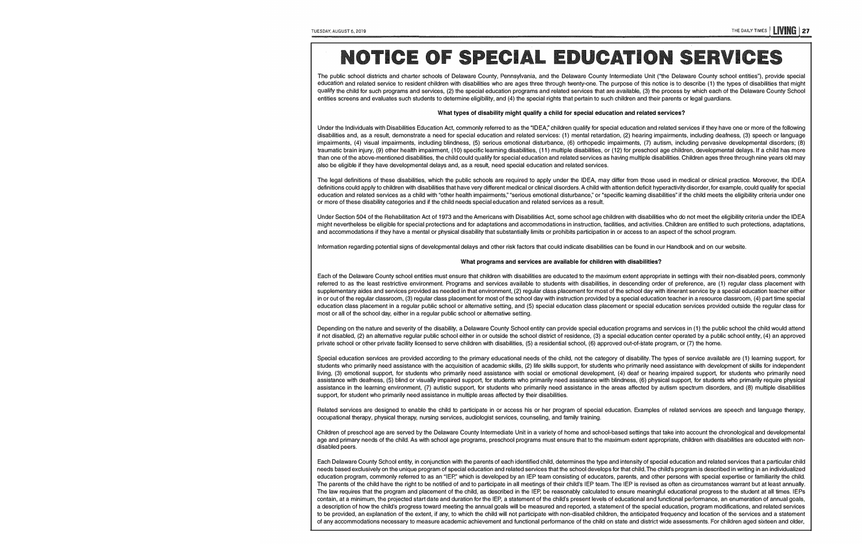# **NOTICE OF SPECIAL EDUCATION SERVICES**

The public school districts and charter schools of Delaware County, Pennsylvania, and the Delaware County Intermediate Unit ("the Delaware County school entities"), provide special<br>
The public school entities and character education and related service to resident children with disabilities who are ages three through twenty-one. The purpose of this notice is to describe (1) the types of disabilities that might qualify the child for such programs and services, (2) the special education programs and related services that are available, (3) the process by which each of the Delaware County School entities screens and evaluates such students to determine eligibility, and (4) the special rights that pertain to such children and their parents or legal guardians.

#### **What types of disability might qualify a child for special education and related services?**

Under the Individuals with Disabilities Education Act, commonly referred to as the "IDEA;' children qualify for special education and related services if they have one or more of the following disabilities and, as a result, demonstrate a need for special education and related services: (1) mental retardation, (2) hearing impairments, including deafness, (3) speech or language impairments, (4) visual impairments, including blindness, (5) serious emotional disturbance, (6) orthopedic impairments, (7) autism, including pervasive developmental disorders; (8) traumatic brain injury, (9) other health impairment, (10) specific learning disabilities, (11) multiple disabilities, or (12) for preschool age children, developmental delays. If a child has more than one of the above-mentioned disabilities, the child could qualify for special education and related services as having multiple disabilities. Children ages three through nine years old may also be eligible if they have developmental delays and, as a result, need special education and related services.

The legal definitions of these disabilities, which the public schools are required to apply under the IDEA, may differ from those used in medical or clinical practice. Moreover, the IDEA definitions could apply to children with disabilities that have very different medical or clinical disorders. A child with attention deficit hyperactivity disorder, for example, could qualify for special education and related services as a child with "other health impairments," "serious emotional disturbance," or "specific learning disabilities" if the child meets the eligibility criteria under one or more of these disability categories and if the child needs special education and related services as a result.

Under Section 504 of the Rehabilitation Act of 1973 and the Americans with Disabilities Act, some school age children with disabilities who do not meet the eligibility criteria under the IDEA might nevertheless be eligible for special protections and for adaptations and accommodations in instruction, facilities, and activities, Children are entitled to such protections, adaptations, and accommodations if they have a mental or physical disability that substantially limits or prohibits participation in or access to an aspect of the school program.

Information regarding potential signs of developmental delays and other risk factors that could indicate disabilities can be found in our Handbook and on our website.

#### **What programs and services are available for children with disabilities?**

Each of the Delaware County school entities must ensure that children with disabilities are educated to the maximum extent appropriate in settings with their non-disabled peers, commonly referred to as the least restrictive environment. Programs and services available to students with disabilities, in descending order of preference, are (1) regular class placement with supplementary aides and services provided as needed in that environment, (2) regular class placement for most of the school day with itinerant service by a special education teacher either in or out of the regular classroom, (3) regular class placement for most of the school day with instruction provided by a special education teacher in a resource classroom, (4) part time special education class placement in a regular public school or alternative setting, and (5) special education class placement or special education services provided outside the regular class for most or all of the school day, either in a regular public school or alternative setting.

Depending on the nature and severity of the disability, a Delaware County School entity can provide special education programs and services in (1) the public school the child would attend if not disabled, (2) an alternative regular public school either in or outside the school district of residence, (3) a special education center operated by a public school entity, (4) an approved private school or other private facility licensed to serve children with disabilities, (5) a residential school, (6) approved out-of-state program, or (7) the home.

Special education services are provided according to the primary educational needs of the child, not the category of disability. The types of service available are (1) learning support, for students who primarily need assistance with the acquisition of academic skills, (2) life skills support, for students who primarily need assistance with development of skills for independent living, (3) emotional support, for students who primarily need assistance with social or emotional development, (4) deaf or hearing impaired support, for students who primarily need assistance with deafness, (5) blind or visually impaired support, tor students who primarily need assistance with blindness, (6) physical support, for students who primarily require physical assistance in the learning environment, (7) autistic support, for students who primarily need assistance in the areas affected by autism spectrum disorders, and (8) multiple disabilities support, for student who primarily need assistance in multiple areas affected by their disabilities.

Related services are designed to enable the child to participate in or access his or her program of special education. Examples of related services are speech and language therapy, occupational therapy, physical therapy, nursing services, audiologist services, counseling, and family training.

Children of preschool age are served by the Delaware County Intermediate Unit in a variety of home and school-based settings that take into account the chronological and developmental age and primary needs of the child. As with school age programs, preschool programs must ensure that to the maximum extent appropriate, children with disabilities are educated with nondisabled peers.

Each Delaware County School entity, in conjunction with the parents of each identified child, determines the type and intensity of special education and related services that a particular child needs based exclusively on the unique program of special education and related services that the school develops for that child. The child's program is described in writing in an individualized education program, commonly referred to as an "IEP," which is developed by an IEP team consisting of educators, parents, and other persons with special expertise or familiarity the child. The parents of the child have the right to be notified of and to participate in all meetings of their child's IEP team. The IEP is revised as often as circumstances warrant but at least annually. The law requires that the program and placement of the child, as described in the IEP, be reasonably calculated to ensure meaningful educational progress to the student at all times. IEPs contain, at a minimum, the projected start date and duration for the IEP, a statement of the child's present levels of educational and functional performance, an enumeration of annual goals, a description of how the child's progress toward meeting the annual goals will be measured and reported, a statement of the special education, program modifications, and related services to be provided, an explanation of the extent, if any, to which the child will not participate with non-disabled children, the anticipated frequency and location of the services and a statement of any accommodations necessary to measure academic achievement and functional performance of the child on state and district wide assessments. For children aged sixteen and older,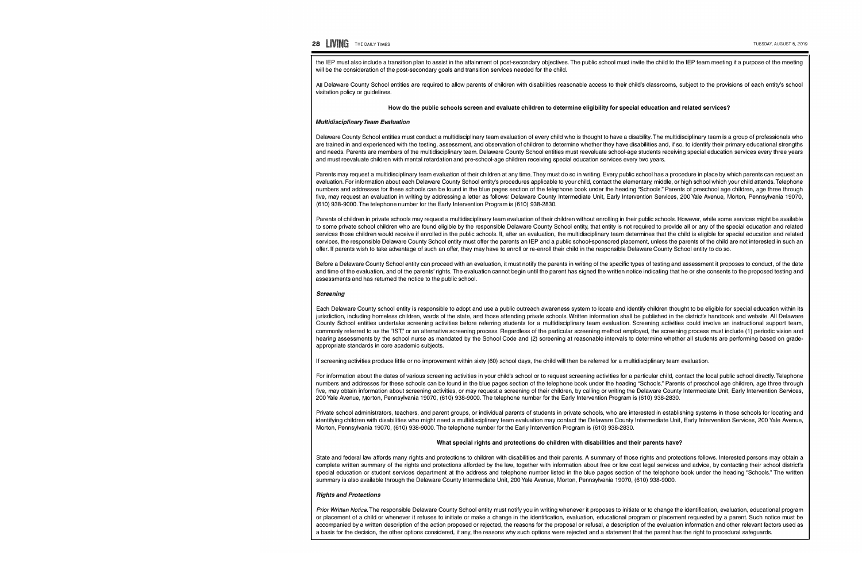## **28 UVING** THE DAILY TIMES TUESDAY, AUGUST 6, 2019

the IEP must also include a transition plan to assist in the attainment of post-secondary objectives. The public school must invite the child to the IEP team meeting if a purpose of the meeting will be the consideration of the post-secondary goals and transition services needed for the child.

All Delaware County School entities are required to allow parents of children with disabilities reasonable access to their child's classrooms, subject to the provisions of each entity's school visitation policy or guidelines.

#### How do the public schools screen and evaluate children to determine eligibility for special education and related services?

#### *Multidisciplinary Team Evaluation*

Delaware County School entities must conduct a multidisciplinary team evaluation of every child who is thought to have a disability. The multidisciplinary team is a group of professionals who are trained in and experienced with the testing, assessment, and observation of children to determine whether they have disabilities and, if so, to identify their primary educational strengths and needs. Parents are members of the multidisciplinary team. Delaware County School entities must reevaluate school-age students receiving special education services every three years and must reevaluate children with mental retardation and pre-school-age children receiving special education services every two years.

Parents may request a multidisciplinary team evaluation of their children at any time. They must do so in writing. Every public school has a procedure in place by which parents can request an evaluation. For information about each Delaware County School entity's procedures applicable to your child, contact the elementary, middle, or high school which your child attends. Telephone numbers and addresses for these schools can be found in the blue pages section of the telephone book under the heading "Schools." Parents of preschool age children, age three through five, may request an evaluation in writing by addressing a letter as follows: Delaware County Intermediate Unit, Early Intervention Services, 200 Yale Avenue, Morton, Pennsylvania 19070, (610) 938-9000. The telephone number for the Early Intervention Program is (610) 938-2830.

Parents of children in private schools may request a multidisciplinary team evaluation of their children without enrolling in their public schools. However, while some services might be available to some private school children who are found eligible by the responsible Delaware County School entity, that entity is not required to provide all or any of the special education and related services those children would receive if enrolled in the public schools. If, after an evaluation, the multidisciplinary team determines that the child is eligible for special education and related services, the responsible Delaware County School entity must offer the parents an IEP and a public school-sponsored placement, unless the parents of the child are not interested in such an offer. If parents wish to take advantage of such an offer, they may have to enroll or re-enroll their child in the responsible Delaware County School entity to do so.

Before a Delaware County School entity can proceed with an evaluation, it must notify the parents in writing of the specific types of testing and assessment it proposes to conduct, of the date and time of the evaluation, and of the parents' rights. The evaluation cannot begin until the parent has signed the written notice indicating that he or she consents to the proposed testing and assessments and has returned the notice to the public school.

#### *Screening*

Each Delaware County school entity is responsible to adopt and use a public outreach awareness system to locate and identify children thought to be eligible for special education within its jurisdiction, including homeless children, wards of the state, and those attending private schools. Written information shall be published in the district's handbook and website. All Delaware County School entities undertake screening activities before referring students for a multidisciplinary team evaluation. Screening activities could involve an instructional support team, commonly referred to as the "IST," or an alternative screening process. Regardless of the particular screening method employed, the screening process must include (1) periodic vision and hearing assessments by the school nurse as mandated by the School Code and (2) screening at reasonable intervals to determine whether all students are performing based on gradeappropriate standards in core academic subjects.

If screening activities produce little or no improvement within sixty (60) school days, the child will then be referred for a multidisciplinary team evaluation.

For information about the dates of various screening activities in your child's school or to request screening activities for a particular child, contact the local public school directly. Telephone numbers and addresses for these schools can be found in the blue pages section of the telephone book under the heading "Schools." Parents of preschool age children, age three through five, may obtain information about screening activities, or may request a screening of their children, by calling or writing the Delaware County Intermediate Unit, Early Intervention Services, 200 Yale Avenue, Morton, Pennsylvania 19070, (610) 938-9000. The telephone number for the Early Intervention Program is (610) 938-2830.

Private school administrators, teachers, and parent groups, or individual parents of students in private schools, who are interested in establishing systems in those schools for locating and identifying children with disabilities who might need a multidisciplinary team evaluation may contact the Delaware County Intermediate Unit, Early Intervention Services, 200 Yale Avenue, Morton, Pennsylvania 19070, (610) 938-9000. The telephone number for the Early Intervention Program is (610) 938-2830.

#### What special rights and protections do children with disabilities and their parents have?

State and federal law affords many rights and protections to children with disabilities and their parents. A summary of those rights and protections follows. Interested persons may obtain a complete written summary of the rights and protections afforded by the law, together with information about free or low cost legal services and advice, by contacting their school district's special education or student services department at the address and telephone number listed in the blue pages section of the telephone book under the heading "Schools." The written summary is also available through the Delaware County Intermediate Unit, 200 Yale Avenue, Morton, Pennsylvania 19070, (610) 938-9000.

#### *Rights and Protections*

Prior Written Notice. The responsible Delaware County School entity must notify you in writing whenever it proposes to initiate or to change the identification, evaluation, educational program or placement of a child or whenever it refuses to initiate or make a change in the identification, evaluation, educational program or placement requested by a parent. Such notice must be accompanied by a written description of the action proposed or rejected, the reasons for the proposal or refusal, a description of the evaluation information and other relevant factors used as a basis for the decision, the other options considered, if any, the reasons why such options were rejected and a statement that the parent has the right to procedural safeguards.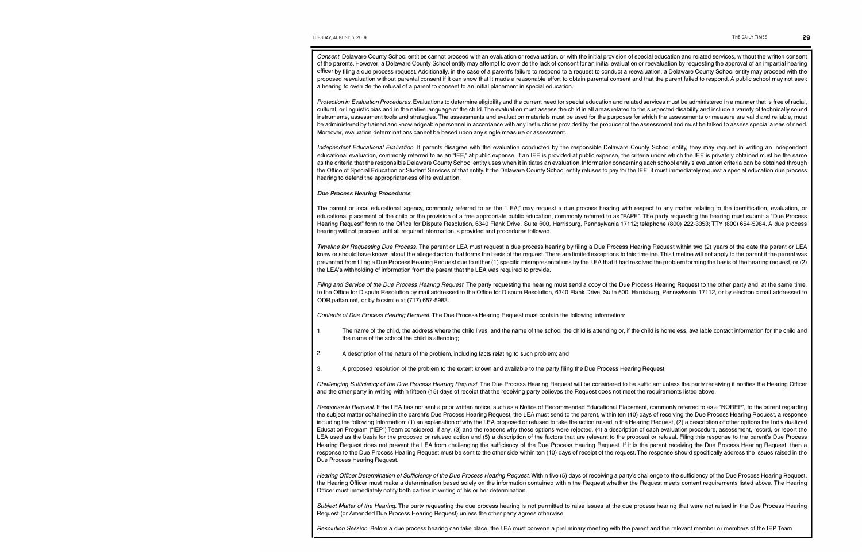*Consent.* Delaware County School entities cannot proceed with an evaluation or reevaluation, or with the initial provision of special education and related services, without the written consent of the parents. However, a Delaware County School entity may attempt to override the lack of consent for an initial evaluation or reevaluation by requesting the approval of an impartial hearing officer by filing a due process request. Additionally, in the case of a parent's failure to respond to a request to conduct a reevaluation, a Delaware County School entity may proceed with the proposed reevaluation without parental consent if it can show that it made a reasonable effort to obtain parental consent and that the parent failed to respond. A public school may not seek a hearing to override the refusal of a parent to consent to an initial placement in special education.

Protection in Evaluation Procedures. Evaluations to determine eligibility and the current need for special education and related services must be administered in a manner that is free of racial, cultural, or linguistic bias and in the native language of the child. The evaluation must assess the child in all areas related to the suspected disability and include a variety of technically sound instruments, assessment tools and strategies. The assessments and evaluation materials must be used for the purposes for which the assessments or measure are valid and reliable, must be administered by trained and knowledgeable personnel in accordance with any instructions provided by the producer of the assessment and must be talked to assess special areas of need. Moreover, evaluation determinations cannot be based upon any single measure or assessment.

*Independent Educational Evaluation.* If parents disagree with the evaluation conducted by the responsible Delaware County School entity, they may request in writing an independent educational evaluation, commonly referred to as an "IEE," at public expense. If an IEE is provided at public expense, the criteria under which the IEE is privately obtained must be the same as the criteria that the responsible Delaware County School entity uses when it initiates an evaluation. Information concerning each school entity's evaluation criteria can be obtained through the Office of Special Education or Student Services of that entity. If the Delaware County School entity refuses to pay for the IEE, it must immediately request a special education due process hearing to defend the appropriateness of its evaluation.

#### *Due Process Hearing Procedures*

The parent or local educational agency, commonly referred to as the "LEA," may request a due process hearing with respect to any matter relating to the identification, evaluation, or educational placement of the child or the provision of a free appropriate public education, commonly referred to as "FAPE". The party requesting the hearing must submit a "Due Process Hearing Request" form to the Office for Dispute Resolution, 6340 Flank Drive, Suite 600, Harrisburg, Pennsylvania 17112; telephone (800) 222-3353; TTY (800) 654-5984. A due process hearing will not proceed until all required information is provided and procedures followed.

*Timeline for Requesting Due Process.* The parent or LEA must request a due process hearing by filing a Due Process Hearing Request within two (2) years of the date the parent or LEA knew or should have known about the alleged action that forms the basis of the request. There are limited exceptions to this timeline. This timeline will not apply to the parent if the parent was prevented from filing a Due Process Hearing Request due to either (1) specific misrepresentations by the LEA that it had resolved the problem forming the basis of the hearing request, or (2) the LEA's withholding of information from the parent that the LEA was required to provide.

*Filing and Service of the Due Process Hearing Request*. The party requesting the hearing must send a copy of the Due Process Hearing Request to the other party and, at the same time, to the Office for Dispute Resolution by mail addressed to the Office for Dispute Resolution, 6340 Flank Drive, Suite 600, Harrisburg, Pennsylvania 17112, or by electronic mail addressed to [ODR.pattan.net,](https://ODR.pattan.net) or by facsimile at (717) 657-5983.

*Contents of Due Process Hearing Request.* The Due Process Hearing Request must contain the following information:

- 1. The name of the child, the address where the child lives, and the name of the school the child is attending or, if the child is homeless, available contact information for the child and the name of the school the child is attending;
- 2. A description of the nature of the problem, including facts relating to such problem; and
- 3. A proposed resolution of the problem to the extent known and available to the party filing the Due Process Hearing Request.

*Challenging Sufficiency of the Due Process Hearing Request.* The Due Process Hearing Request will be considered to be sufficient unless the party receiving it notifies the Hearing Officer and the other party in writing within fifteen (15) days of receipt that the receiving party believes the Request does not meet the requirements listed above.

*Response to Request.* If the LEA has not sent a prior written notice, such as a Notice of Recommended Educational Placement, commonly referred to as a "NOREP", to the parent regarding the subject matter contained in the parent's Due Process Hearing Request, the LEA must send to the parent, within ten (10) days of receiving the Due Process Hearing Request, a response including the following Information: (1) an explanation of why the LEA proposed or refused to take the action raised in the Hearing Request, (2) a description of other options the Individualized Education Program ("IEP") Team considered, if any, (3) and the reasons why those options were rejected, (4) a description of each evaluation procedure, assessment, record, or report the LEA used as the basis for the proposed or refused action and (5) a description of the factors that are relevant to the proposal or refusal. Filing this response to the parent's Due Process Hearing Request does not prevent the LEA from challenging the sufficiency of the Due Process Hearing Request. If it is the parent receiving the Due Process Hearing Request, then a response to the Due Process Hearing Request must be sent to the other side within ten (10) days of receipt of the request. The response should specifically address the issues raised in the Due Process Hearing Request.

Hearing Officer Determination of Sufficiency of the Due Process Hearing Request. Within five (5) days of receiving a party's challenge to the sufficiency of the Due Process Hearing Request, the Hearing Officer must make a determination based solely on the information contained within the Request whether the Request meets content requirements listed above. The Hearing Officer must immediately notify both parties in writing of his or her determination.

*Subject Matter of the Hearing.* The party requesting the due process hearing is not permitted to raise issues at the due process hearing that were not raised in the Due Process Hearing Request (or Amended Due Process Hearing Request) unless the other party agrees otherwise.

*Resolution Session.* Before a due process hearing can take place, the LEA must convene a preliminary meeting with the parent and the relevant member or members of the IEP Team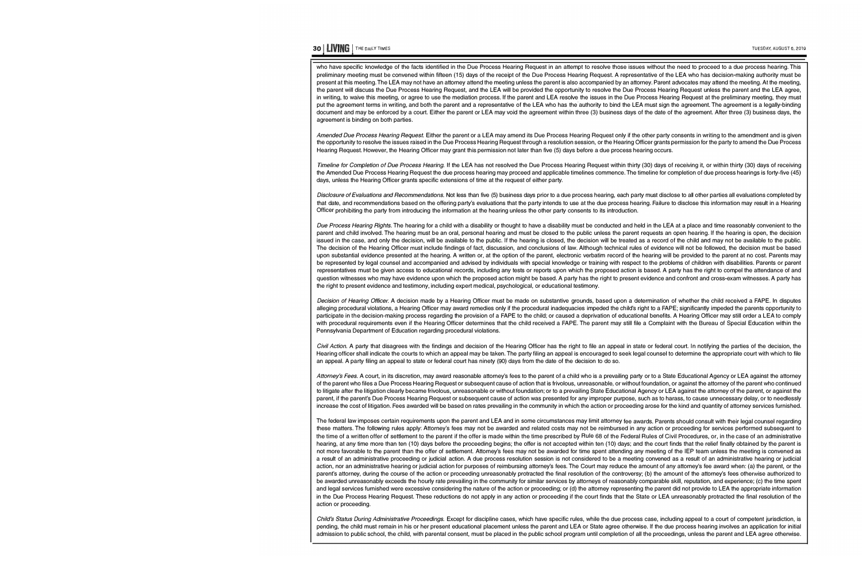# **30 | LIVING** | THE DAILY TIMES

who have specific knowledge of the facts identified in the Due Process Hearing Request in an attempt to resolve those issues without the need to proceed to a due process hearing. This preliminary meeting must be convened within fifteen (15) days of the receipt of the Due Process Hearing Request. A representative of the LEA who has decision-making authority must be present at this meeting. The LEA may not have an attorney attend the meeting unless the parent is also accompanied by an attorney. Parent advocates may attend the meeting. At the meeting, the parent will discuss the Due Process Hearing Request, and the LEA will be provided the opportunity to resolve the Due Process Hearing Request unless the parent and the LEA agree, in writing, to waive this meeting, or agree to use the mediation process. If the parent and LEA resolve the issues in the Due Process Hearing Request at the preliminary meeting, they must put the agreement terms in writing, and both the parent and a representative of the LEA who has the authority to bind the LEA must sign the agreement. The agreement is a legally-binding document and may be enforced by a court. Either the parent or LEA may void the agreement within three (3) business days of the date of the agreement. After three (3) business days, the agreement is binding on both parties.

*Amended Due Process Hearing Request.* Either the parent or a LEA may amend its Due Process Hearing Request only if the other party consents in writing to the amendment and is given the opportunity to resolve the issues raised in the Due Process Hearing Request through a resolution session, or the Hearing Officer grants permission for the party to amend the Due Process Hearing Request. However, the Hearing Officer may grant this permission not later than five (5) days before a due process hearing occurs.

*Timeline for Completion of Due Process Hearing.* If the LEA has not resolved the Due Process Hearing Request within thirty (30) days of receiving it, or within thirty (30) days of receiving the Amended Due Process Hearing Request the due process hearing may proceed and applicable timelines commence. The timeline for completion of due process hearings is forty-five (45) days, unless the Hearing Officer grants specific extensions of time at the request of either party.

*Disclosure of Evaluations and Recommendations.* Not less than five (5) business days prior to a due process hearing, each party must disclose to all other parties all evaluations completed by that date, and recommendations based on the offering party's evaluations that the party intends to use at the due process hearing. Failure to disclose this information may result in a Hearing Officer prohibiting the party from introducing the information at the hearing unless the other party consents to its introduction.

Due Process Hearing Rights. The hearing for a child with a disability or thought to have a disability must be conducted and held in the LEA at a place and time reasonably convenient to the parent and child involved. The hearing must be an oral, personal hearing and must be closed to the public unless the parent requests an open hearing. If the hearing is open, the decision issued in the case, and only the decision, will be available to the public. If the hearing is closed, the decision will be treated as a record of the child and may not be available to the public. The decision of the Hearing Officer must include findings of fact, discussion, and conclusions of law. Although technical rules of evidence will not be followed, the decision must be based upon substantial evidence presented at the hearing. A written or, at the option of the parent, electronic verbatim record of the hearing will be provided to the parent at no cost. Parents may be represented by legal counsel and accompanied and advised by individuals with special knowledge or training with respect to the problems of children with disabilities. Parents or parent representatives must be given access to educational records, including any tests or reports upon which the proposed action is based. A party has the right to compel the attendance of and question witnesses who may have evidence upon which the proposed action might be based. A party has the right to present evidence and confront and cross-exam witnesses. A party has the right to present evidence and testimony, including expert medical, psychological, or educational testimony.

*Decision of Hearing Officer.* A decision made by a Hearing Officer must be made on substantive grounds, based upon a determination of whether the child received a FAPE. In disputes alleging procedural violations, a Hearing Officer may award remedies only if the procedural inadequacies impeded the child's right to a FAPE; significantly impeded the parents opportunity to participate in the decision-making process regarding the provision of a FAPE to the child; or caused a deprivation of educational benefits. A Hearing Officer may still order a LEA to comply with procedural requirements even if the Hearing Officer determines that the child received a FAPE. The parent may still file a Complaint with the Bureau of Special Education within the Pennsylvania Department of Education regarding procedural violations.

Civil Action. A party that disagrees with the findings and decision of the Hearing Officer has the right to file an appeal in state or federal court. In notifying the parties of the decision, the Hearing officer shall indicate the courts to which an appeal may be taken. The party filing an appeal is encouraged to seek legal counsel to determine the appropriate court with which to file an appeal. A party filing an appeal to state or federal court has ninety (90) days from the date of the decision to do so.

Attorney's Fees. A court, in its discretion, may award reasonable attorney's fees to the parent of a child who is a prevailing party or to a State Educational Agency or LEA against the attorney of the parent who files a Due Process Hearing Request or subsequent cause of action that is frivolous, unreasonable, or without foundation, or against the attorney of the parent who continued to litigate after the litigation clearly became frivolous, unreasonable or without foundation; or to a prevailing State Educational Agency or LEA against the attorney of the parent, or against the parent, if the parent's Due Process Hearing Request or subsequent cause of action was presented for any improper purpose, such as to harass, to cause unnecessary delay, or to needlessly increase the cost of litigation. Fees awarded will be based on rates prevailing in the community in which the action or proceeding arose for the kind and quantity of attorney services furnished.

The federal law imposes certain requirements upon the parent and LEA and in some circumstances may limit attorney fee awards. Parents should consult with their legal counsel regarding these matters. The following rules apply: Attorney's fees may not be awarded and related costs may not be reimbursed in any action or proceeding for services performed subsequent to the time of a written offer of settlement to the parent if the offer is made within the time prescribed by Rule 68 of the Federal Rules of Civil Procedures, or, in the case of an administrative hearing, at any time more than ten (10) days before the proceeding begins; the offer is not accepted within ten (10) days; and the court finds that the relief finally obtained by the parent is not more favorable to the parent than the offer of settlement. Attorney's fees may not be awarded for time spent attending any meeting of the IEP team unless the meeting is convened as a result of an administrative proceeding or judicial action. A due process resolution session is not considered to be a meeting convened as a result of an administrative hearing or judicial action, nor an administrative hearing or judicial action for purposes of reimbursing attorney's fees. The Court may reduce the amount of any attorney's fee award when: (a) the parent, or the parent's attorney, during the course of the action or proceeding unreasonably protracted the final resolution of the controversy; (b) the amount of the attorney's fees otherwise authorized to be awarded unreasonably exceeds the hourly rate prevailing in the community for similar services by attorneys of reasonably comparable skill, reputation, and experience; (c) the time spent and legal services furnished were excessive considering the nature of the action or proceeding; or (d) the attorney representing the parent did not provide to LEA the appropriate information in the Due Process Hearing Request. These reductions do not apply in any action or proceeding if the court finds that the State or LEA unreasonably protracted the final resolution of the action or proceeding.

Child's Status During Administrative Proceedings. Except for discipline cases, which have specific rules, while the due process case, including appeal to a court of competent jurisdiction, is pending, the child must remain in his or her present educational placement unless the parent and LEA or State agree otherwise. If the due process hearing involves an application for initial admission to public school, the child, with parental consent, must be placed in the public school program until completion of all the proceedings, unless the parent and LEA agree otherwise.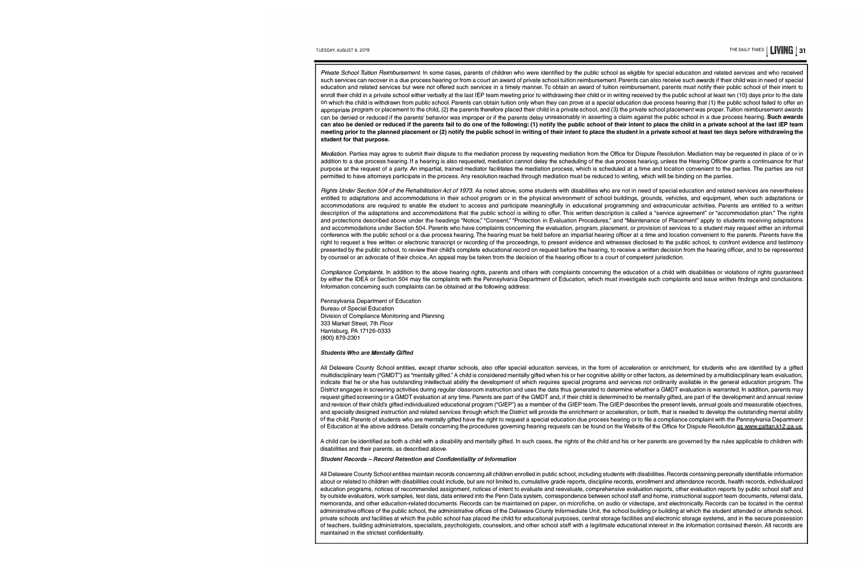*Private School Tuition Reimbursement.* In some cases, parents of children who were identified by the public school as eligible for special education and related services and who *received* such services can recover in a due process hearing or from a court an award of private school tuition reimbursement. Parents can also *receive* such awards if their child was in need of special education and related services but were not offered such services in a timely manner. To obtain an award of tuition reimbursement, parents must notify their public school of their intent to enroll their child in a private school either verbally at the last IEP team meeting prior to withdrawing their child or in writing received by the public school at least ten (10) days prior to the date on which the child is withdrawn from public school. Parents can obtain tuition only when they can *prove* at a special education due process hearing that (1) the public school failed to offer an appropriate program or placement to the child, (2) the parents therefore placed their child in a private school, and (3) the private school placement was proper. Tuition reimbursement awards can be denied or reduced if the parents' behavior was improper or if the parents delay unreasonably in asserting a claim against the public school in a due process hearing. Such awards can also be denied or reduced if the parents fail to do one of the following: (1} notify the public school of their intent to place the child in a private school at the last IEP team meeting prior to the planned placement or (2) notify the public school in writing of their intent to place the student in a private school at least ten days before withdrawing the student for that purpose.

Mediation. Parties may agree to submit their dispute to the mediation process by requesting mediation from the Office for Dispute Resolution. Mediation may be requested in place of or in addition to a due process hearing. If a hearing is also requested, mediation cannot delay the scheduling of the due process hearing, unless the Hearing Officer grants a continuance for that purpose at the request of a party. An impartial, trained mediator facilitates the mediation process, which is scheduled at a time and location convenient to the parties. The parties are not permitted to have attorneys participate in the process. Any resolution reached through mediation must be reduced to writing, which will be binding on the parties.

*Rights Under Section 504 of the Rehabilitation Act of 1973.* As noted *above,* some students with disabilities who are not in need of special education and related services are nevertheless entitled to adaptations and accommodations in their school program or in the physical environment of school buildings, grounds, vehicles, and equipment, when such adaptations or accommodations are required to enable the student to access and participate meaningfully in educational programming and extracurricular activities. Parents are entitled to a written description of the adaptations and accommodations that the public school is willing to offer. This written description is called a "service agreement" or "accommodation plan." The rights and protections described above under the headings "Notice," "Consent," "Protection in Evaluation Procedures," and "Maintenance of Placement" apply to students receiving adaptations and accommodations under Section 504. Parents who have complaints concerning the evaluation, program, placement, or provision of services to a student may request either an informal conference with the public school or a due process hearing. The hearing must be held before an impartial hearing officer at a time and location convenient to the parents. Parents have the right to request a free written or electronic transcript or recording of the proceedings, to present evidence and witnesses disclosed to the public school, to confront evidence and testimony presented by the public school, to review their child's complete educational record on request before the hearing, to receive a written decision from the hearing officer, and to be represented by counsel or an advocate of their choice. An appeal may be taken from the decision of the hearing officer to a court of competent jurisdiction.

Compliance Complaints. In addition to the above hearing rights, parents and others with complaints concerning the education of a child with disabilities or violations of rights guaranteed by either the IDEA or Section 504 may file complaints with the Pennsylvania Department of Education, which must investigate such complaints and issue written findings and conclusions. Information concerning such complaints can be obtained at the following address:

Pennsylvania Department of Education Bureau of Special Education Division of Compliance Monitoring and Planning 333 Market Street, 7th Floor Harrisburg, PA 17126-0333 (800) 879-2301

#### *Students Who are Mentally Gifted*

All Delaware County School entities, except charter schools, also offer special education services, in the form of acceleration or enrichment, for students who are identified by a gifted multidisciplinary team ("GMDT") as "mentally gifted." A child is considered mentally gifted when his or her cognitive ability or other factors, as determined by a multidisciplinary team evaluation, indicate that he or she has outstanding intellectual ability the development of which requires special programs and services not ordinarily available in the general education program. The District engages in screening activities during regular classroom instruction and uses the data thus generated to determine whether a GMDT evaluation is warranted. In addition, parents may request gifted screening or a GMDT evaluation at any time. Parents are part of the GMDT and, if their child is determined to be mentally gifted, are part of the development and annual review and revision of their child's gifted individualized educational program ("GIEP") as a member of the GIEP team. The GIEP describes the present levels, annual goals and measurable objectives, and specially designed instruction and related services through which the District will provide the enrichment or acceleration, or both, that is needed to develop the outstanding mental ability of the child. Parents of students who are mentally gifted have the right to request a special education due process hearing or to file a compliance complaint with the Pennsylvania Department of Education at the above address. Details concerning the procedures governing hearing requests can be found on the Website of the Office for Dispute Resolution as [www.pattan.k12.pa.us.](www.pattan.k12.pa.us)

A child can be identified as both a child with a disability and mentally gifted. In such cases, the rights of the child and his or her parents are governed by the rules applicable to children with disabilities and their parents, as described above.

#### *Student Records* - *Record Retention and Confidentiality of Information*

All Delaware County School entities maintain records concerning all children enrolled in public school, including students with disabilities. Records containing personally identifiable information about or related to children with disabilities could include, but are not limited to, cumulative grade reports, discipline records, enrollment and attendance records, health records, individualized education programs, notices of recommended assignment, notices of intent to evaluate and reevaluate, comprehensive evaluation reports, other evaluation reports by public school staff and by outside evaluators, work samples, test data, data entered into the Penn Data system, correspondence between school staff and home, instructional support team documents, referral data, memoranda, and other education-related documents. Records can be maintained on paper, on microfiche, on audio or videotape, and electronically. Records can be located in the central administrative offices of the public school, the administrative offices of the Delaware County Intermediate Unit, the school building or building at which the student attended or attends school, private schools and facilities at which the public school has placed the child for educational purposes, central storage facilities and electronic storage systems, and in the secure possession of teachers, building administrators, specialists, psychologists, counselors, and other school staff with a legitimate educational interest in the information contained therein. All records are maintained in the strictest confidentiality.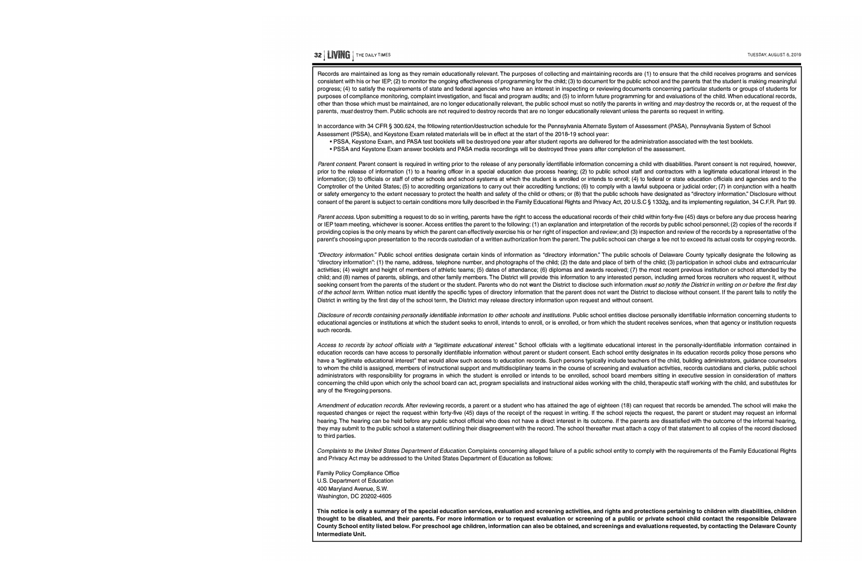### **<sup>32</sup>**I **UVING** I THE DAILYTIMES

Records are maintained as long as they remain educationally relevant. The purposes of collecting and maintaining records are (1) to ensure that the child receives programs and services consistent with his or her IEP; (2) to monitor the ongoing effectiveness of programming for the child; (3) to document for the public school and the parents that the student is making meaningful progress; (4) to satisfy the requirements of state and federal agencies who have an interest in inspecting or reviewing documents concerning particular students or groups of students for purposes of compliance monitoring, complaint investigation, and fiscal and program audits; and (5) to inform future programming for and evaluations of the child. When educational records, other than those which must be maintained, are no longer educationally relevant, the public school must so notify the parents in writing and *may* destroy the records or, at the request of the parents, must destroy them. Public schools are not required to destroy records that are no longer educationally relevant unless the parents so request in writing.

In accordance with 34 CFR § 300.624, the following retention/destruction schedule for the Pennsylvania Alternate System of Assessment (PASA), Pennsylvania System of School Assessment (PSSA), and Keystone Exam related materials will be in effect at the start of the 2018-19 school year:

- PSSA, Keystone Exam, and PASA test booklets will be destroyed one year after student reports are delivered for the administration associated with the test booklets.
- PSSA and Keystone Exam answer booklets and PASA media recordings will be destroyed three years after completion of the assessment.

*Parent consent.* Parent consent is required in writing prior to the release of any personally identifiable information concerning a child with disabilities. Parent consent is not required, however, prior to the release of information (1) to a hearing officer in a special education due process hearing; (2) to public school staff and contractors with a legitimate educational interest in the information; (3) to officials or staff of other schools and school systems at which the student is enrolled or intends to enroll; (4) to federal or state education officials and agencies and to the Comptroller of the United States; (5) to accrediting organizations to carry out their accrediting functions; (6) to comply with a lawful subpoena or judicial order; (7) in conjunction with a health or safety emergency to the extent necessary to protect the health and safety of the child or others; or (8) that the public schools have designated as "directory information." Disclosure without consent of the parent is subject to certain conditions more fully described in the Family Educational Rights and Privacy Act, 20 U.S.C § 1332g, and its implementing regulation, 34 C.F.R. Part 99.

Parent access. Upon submitting a request to do so in writing, parents have the right to access the educational records of their child within forty-five (45) days or before any due process hearing or IEP team meeting, whichever is sooner. Access entitles the parent to the following: (1) an explanation and interpretation of the records by public school personnel; (2) copies of the records if providing copies is the only means by which the parent can effectively exercise his or her right of inspection and review; and (3) inspection and review of the records by a representative of the parent's choosing upon presentation to the records custodian of a written authorization from the parent. The public school can charge a fee not to exceed its actual costs for copying records.

*"Directory information."* Public school entities designate certain kinds of information as "directory information." The public schools of Delaware County typically designate the following as "directory information": (1) the name, address, telephone number, and photographs of the child; (2) the date and place of birth of the child; (3) participation in school clubs and extracurricular activities; (4) weight and height of members of athletic teams; (5) dates of attendance; (6) diplomas and awards received; (7) the most recent previous institution or school attended by the child; and (8) names of parents, siblings, and other family members. The District will provide this information to any interested person, including armed forces recruiters who request it, without seeking consent from the parents of the student or the student. Parents who do not want the District to disclose such information *must so notify the District in writing on or before the first day of the school term.* Written notice must identify the specific types of directory information that the parent does not want the District to disclose without consent. If the parent fails to notify the District in writing by the first day of the school term, the District may release directory information upon request and without consent.

Disclosure of records containing personally identifiable information to other schools and institutions. Public school entities disclose personally identifiable information concerning students to educational agencies or institutions at which the student seeks to enroll, intends to enroll, or is enrolled, or from which the student receives services, when that agency or institution requests such records.

Access to records by school officials with a "legitimate educational interest." School officials with a legitimate educational interest in the personally-identifiable information contained in education records can have access to personally identifiable information without parent or student consent. Each school entity designates in its education records policy those persons who have a "legitimate educational interest" that would allow such access to education records. Such persons typically include teachers of the child, building administrators, guidance counselors to whom the child is assigned, members of instructional support and multidisciplinary teams in the course of screening and evaluation activities, records custodians and clerks, public school administrators with responsibility for programs in which the student is enrolled or intends to be enrolled, school board members sitting in executive session in consideration of matters concerning the child upon which only the school board can act, program specialists and instructional aides working with the child, therapeutic staff working with the child; and substitutes for any of the foregoing persons.

*Amendment of education records.* After reviewing records, a parent or a student who has attained the age of eighteen (18) can request that records be amended. The school will make the requested changes or reject the request within forty-five (45) days of the receipt of the request in writing. If the school rejects the request, the parent or student may request an informal hearing. The hearing can be held before any public school official who does not have a direct interest in its outcome. If the parents are dissatisfied with the outcome of the informal hearing, they may submit to the public school a statement outlining their disagreement with the record. The school thereafter must attach a copy of that statement to all copies of the record disclosed to third parties.

*Complaints to the United* States *Department of Education.* Complaints concerning alleged failure of a public school entity to comply With the requirements of the Family Educational Rights and Privacy Act may be addressed to the United States Department of Education as follows:

Family Policy Compliance Office U.S. Department of Education 400 Maryland Avenue, S.W. Washington, DC 20202-4605

**This notice is only a summary of the special education services, evaluation and screening activities, and rights and protections pertaining to children with disabilities, children thought to be disabled, and their parents. For more information or to request evaluation or screening of a public or private school child contact the responsible Delaware County School entity listed below. For preschool age children, information can also be obtained, and screenings and evaluations requested, by contacting the Delaware County Intermediate Unit.**